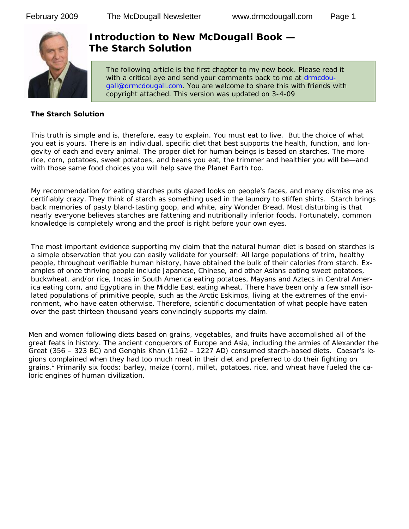

# **Introduction to New McDougall Book — The Starch Solution**

The following article is the first chapter to my new book. Please read it with a critical eye and send your comments back to me at drmcdougall@drmcdougall.com. You are welcome to share this with friends with copyright attached. This version was updated on 3-4-09

#### **The Starch Solution**

This truth is simple and is, therefore, easy to explain. You must eat to live. But the choice of what you eat is yours. There is an individual, specific diet that best supports the health, function, and longevity of each and every animal. The proper diet for human beings is based on starches. The more rice, corn, potatoes, sweet potatoes, and beans you eat, the trimmer and healthier you will be—and with those same food choices you will help save the Planet Earth too.

My recommendation for eating starches puts glazed looks on people's faces, and many dismiss me as certifiably crazy. They think of starch as something used in the laundry to stiffen shirts. Starch brings back memories of pasty bland-tasting goop, and white, airy Wonder Bread. Most disturbing is that nearly everyone believes starches are fattening and nutritionally inferior foods. Fortunately, common knowledge is completely wrong and the proof is right before your own eyes.

The most important evidence supporting my claim that the natural human diet is based on starches is a simple observation that you can easily validate for yourself: All large populations of trim, healthy people, throughout verifiable human history, have obtained the bulk of their calories from starch. Examples of once thriving people include Japanese, Chinese, and other Asians eating sweet potatoes, buckwheat, and/or rice, Incas in South America eating potatoes, Mayans and Aztecs in Central America eating corn, and Egyptians in the Middle East eating wheat. There have been only a few small isolated populations of primitive people, such as the Arctic Eskimos, living at the extremes of the environment, who have eaten otherwise. Therefore, scientific documentation of what people have eaten over the past thirteen thousand years convincingly supports my claim.

Men and women following diets based on grains, vegetables, and fruits have accomplished all of the great feats in history. The ancient conquerors of Europe and Asia, including the armies of Alexander the Great (356 – 323 BC) and Genghis Khan (1162 – 1227 AD) consumed starch-based diets. Caesar's legions complained when they had too much meat in their diet and preferred to do their fighting on grains.<sup>1</sup> Primarily six foods: barley, maize (corn), millet, potatoes, rice, and wheat have fueled the caloric engines of human civilization.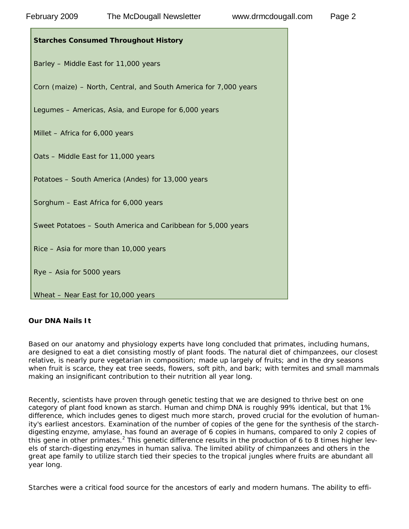| <b>Starches Consumed Throughout History</b>                      |
|------------------------------------------------------------------|
| Barley - Middle East for 11,000 years                            |
| Corn (maize) - North, Central, and South America for 7,000 years |
| Legumes - Americas, Asia, and Europe for 6,000 years             |
| Millet - Africa for 6,000 years                                  |
| Oats - Middle East for 11,000 years                              |
| Potatoes - South America (Andes) for 13,000 years                |
| Sorghum - East Africa for 6,000 years                            |
| Sweet Potatoes - South America and Caribbean for 5,000 years     |
| Rice - Asia for more than 10,000 years                           |
| Rye - Asia for 5000 years                                        |
| Wheat - Near East for 10,000 years                               |

#### **Our DNA Nails It**

Based on our anatomy and physiology experts have long concluded that primates, including humans, are designed to eat a diet consisting mostly of plant foods. The natural diet of chimpanzees, our closest relative, is nearly pure vegetarian in composition; made up largely of fruits; and in the dry seasons when fruit is scarce, they eat tree seeds, flowers, soft pith, and bark; with termites and small mammals making an insignificant contribution to their nutrition all year long.

Recently, scientists have proven through genetic testing that we are designed to thrive best on one category of plant food known as starch. Human and chimp DNA is roughly 99% identical, but that 1% difference, which includes genes to digest much more starch, proved crucial for the evolution of humanity's earliest ancestors. Examination of the number of copies of the gene for the synthesis of the starchdigesting enzyme, amylase, has found an average of 6 copies in humans, compared to only 2 copies of this gene in other primates.<sup>2</sup> This genetic difference results in the production of 6 to 8 times higher levels of starch-digesting enzymes in human saliva. The limited ability of chimpanzees and others in the great ape family to utilize starch tied their species to the tropical jungles where fruits are abundant all year long.

Starches were a critical food source for the ancestors of early and modern humans. The ability to effi-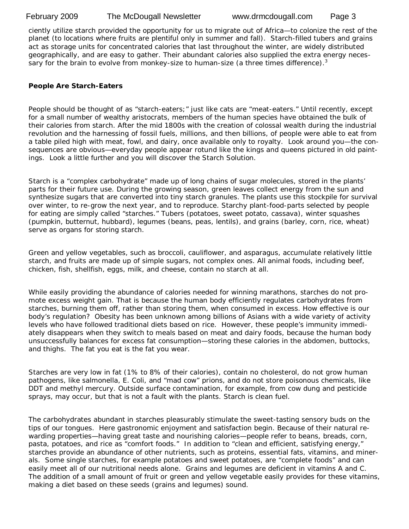ciently utilize starch provided the opportunity for us to migrate out of Africa—to colonize the rest of the planet (to locations where fruits are plentiful only in summer and fall). Starch-filled tubers and grains act as storage units for concentrated calories that last throughout the winter, are widely distributed geographically, and are easy to gather. Their abundant calories also supplied the extra energy necessary for the brain to evolve from monkey-size to human-size (a three times difference).<sup>3</sup>

#### **People Are Starch-Eaters**

People should be thought of as "starch-eaters;" just like cats are "meat-eaters." Until recently, except for a small number of wealthy aristocrats, members of the human species have obtained the bulk of their calories from starch. After the mid 1800s with the creation of colossal wealth during the industrial revolution and the harnessing of fossil fuels, millions, and then billions, of people were able to eat from a table piled high with meat, fowl, and dairy, once available only to royalty. Look around you—the consequences are obvious—everyday people appear rotund like the kings and queens pictured in old paintings. Look a little further and you will discover the Starch Solution.

Starch is a "complex carbohydrate" made up of long chains of sugar molecules, stored in the plants' parts for their future use. During the growing season, green leaves collect energy from the sun and synthesize sugars that are converted into tiny starch granules. The plants use this stockpile for survival over winter, to re-grow the next year, and to reproduce. Starchy plant-food-parts selected by people for eating are simply called "starches." Tubers (potatoes, sweet potato, cassava), winter squashes (pumpkin, butternut, hubbard), legumes (beans, peas, lentils), and grains (barley, corn, rice, wheat) serve as organs for storing starch.

Green and yellow vegetables, such as broccoli, cauliflower, and asparagus, accumulate relatively little starch, and fruits are made up of simple sugars, not complex ones. All animal foods, including beef, chicken, fish, shellfish, eggs, milk, and cheese, contain no starch at all.

While easily providing the abundance of calories needed for winning marathons, starches do not promote excess weight gain. That is because the human body efficiently regulates carbohydrates from starches, burning them off, rather than storing them, when consumed in excess. How effective is our body's regulation? Obesity has been unknown among billions of Asians with a wide variety of activity levels who have followed traditional diets based on rice. However, these people's immunity immediately disappears when they switch to meals based on meat and dairy foods, because the human body unsuccessfully balances for excess fat consumption—storing these calories in the abdomen, buttocks, and thighs. The fat you eat is the fat you wear.

Starches are very low in fat (1% to 8% of their calories), contain no cholesterol, do not grow human pathogens, like salmonella, E. Coli, and "mad cow" prions, and do not store poisonous chemicals, like DDT and methyl mercury. Outside surface contamination, for example, from cow dung and pesticide sprays, may occur, but that is not a fault with the plants. Starch is clean fuel.

The carbohydrates abundant in starches pleasurably stimulate the sweet-tasting sensory buds on the tips of our tongues. Here gastronomic enjoyment and satisfaction begin. Because of their natural rewarding properties—having great taste and nourishing calories—people refer to beans, breads, corn, pasta, potatoes, and rice as "comfort foods." In addition to "clean and efficient, satisfying energy," starches provide an abundance of other nutrients, such as proteins, essential fats, vitamins, and minerals. Some single starches, for example potatoes and sweet potatoes, are "complete foods" and can easily meet all of our nutritional needs alone. Grains and legumes are deficient in vitamins A and C. The addition of a small amount of fruit or green and yellow vegetable easily provides for these vitamins, making a diet based on these seeds (grains and legumes) sound.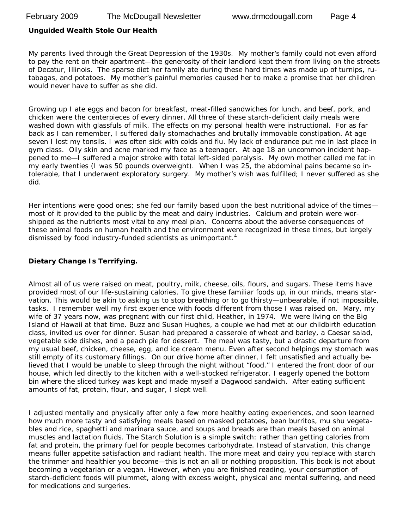#### **Unguided Wealth Stole Our Health**

My parents lived through the Great Depression of the 1930s. My mother's family could not even afford to pay the rent on their apartment—the generosity of their landlord kept them from living on the streets of Decatur, Illinois. The sparse diet her family ate during these hard times was made up of turnips, rutabagas, and potatoes. My mother's painful memories caused her to make a promise that her children would never have to suffer as she did.

Growing up I ate eggs and bacon for breakfast, meat-filled sandwiches for lunch, and beef, pork, and chicken were the centerpieces of every dinner. All three of these starch-deficient daily meals were washed down with glassfuls of milk. The effects on my personal health were instructional. For as far back as I can remember, I suffered daily stomachaches and brutally immovable constipation. At age seven I lost my tonsils. I was often sick with colds and flu. My lack of endurance put me in last place in gym class. Oily skin and acne marked my face as a teenager. At age 18 an uncommon incident happened to me—I suffered a major stroke with total left-sided paralysis. My own mother called me fat in my early twenties (I was 50 pounds overweight). When I was 25, the abdominal pains became so intolerable, that I underwent exploratory surgery. My mother's wish was fulfilled; I never suffered as she did.

Her intentions were good ones; she fed our family based upon the best nutritional advice of the timesmost of it provided to the public by the meat and dairy industries. Calcium and protein were worshipped as the nutrients most vital to any meal plan. Concerns about the adverse consequences of these animal foods on human health and the environment were recognized in these times, but largely dismissed by food industry-funded scientists as unimportant.<sup>4</sup>

#### **Dietary Change Is Terrifying.**

Almost all of us were raised on meat, poultry, milk, cheese, oils, flours, and sugars. These items have provided most of our life-sustaining calories. To give these familiar foods up, in our minds, means starvation. This would be akin to asking us to stop breathing or to go thirsty—unbearable, if not impossible, tasks. I remember well my first experience with foods different from those I was raised on. Mary, my wife of 37 years now, was pregnant with our first child, Heather, in 1974. We were living on the Big Island of Hawaii at that time. Buzz and Susan Hughes, a couple we had met at our childbirth education class, invited us over for dinner. Susan had prepared a casserole of wheat and barley, a Caesar salad, vegetable side dishes, and a peach pie for dessert. The meal was tasty, but a drastic departure from my usual beef, chicken, cheese, egg, and ice cream menu. Even after second helpings my stomach was still empty of its customary fillings. On our drive home after dinner, I felt unsatisfied and actually believed that I would be unable to sleep through the night without "food." I entered the front door of our house, which led directly to the kitchen with a well-stocked refrigerator. I eagerly opened the bottom bin where the sliced turkey was kept and made myself a Dagwood sandwich. After eating sufficient amounts of fat, protein, flour, and sugar, I slept well.

I adjusted mentally and physically after only a few more healthy eating experiences, and soon learned how much more tasty and satisfying meals based on masked potatoes, bean burritos, mu shu vegetables and rice, spaghetti and marinara sauce, and soups and breads are than meals based on animal muscles and lactation fluids. The Starch Solution is a simple switch: rather than getting calories from fat and protein, the primary fuel for people becomes carbohydrate. Instead of starvation, this change means fuller appetite satisfaction and radiant health. The more meat and dairy you replace with starch the trimmer and healthier you become—this is not an all or nothing proposition. This book is not about becoming a vegetarian or a vegan. However, when you are finished reading, your consumption of starch-deficient foods will plummet, along with excess weight, physical and mental suffering, and need for medications and surgeries.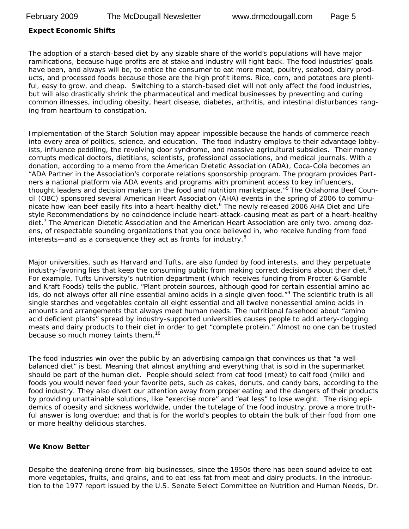#### **Expect Economic Shifts**

The adoption of a starch-based diet by any sizable share of the world's populations will have major ramifications, because huge profits are at stake and industry will fight back. The food industries' goals have been, and always will be, to entice the consumer to eat more meat, poultry, seafood, dairy products, and processed foods because those are the high profit items. Rice, corn, and potatoes are plentiful, easy to grow, and cheap. Switching to a starch-based diet will not only affect the food industries, but will also drastically shrink the pharmaceutical and medical businesses by preventing and curing common illnesses, including obesity, heart disease, diabetes, arthritis, and intestinal disturbances ranging from heartburn to constipation.

Implementation of the Starch Solution may appear impossible because the hands of commerce reach into every area of politics, science, and education. The food industry employs to their advantage lobbyists, influence peddling, the revolving door syndrome, and massive agricultural subsidies. Their money corrupts medical doctors, dietitians, scientists, professional associations, and medical journals. With a donation, according to a memo from the American Dietetic Association (ADA), Coca-Cola becomes an "ADA Partner in the Association's corporate relations sponsorship program. The program provides Partners a national platform via ADA events and programs with prominent access to key influencers, thought leaders and decision makers in the food and nutrition marketplace.<sup>"5</sup> The Oklahoma Beef Council (OBC) sponsored several American Heart Association (AHA) events in the spring of 2006 to communicate how lean beef easily fits into a heart-healthy diet.<sup>6</sup> The newly released 2006 AHA Diet and Lifestyle Recommendations by no coincidence include heart-attack-causing meat as part of a heart-healthy diet.<sup>7</sup> The American Dietetic Association and the American Heart Association are only two, among dozens, of respectable sounding organizations that you once believed in, who receive funding from food interests—and as a consequence they act as fronts for industry.<sup>8</sup>

Major universities, such as Harvard and Tufts, are also funded by food interests, and they perpetuate industry-favoring lies that keep the consuming public from making correct decisions about their diet. $8$ For example, Tufts University's nutrition department (which receives funding from Procter & Gamble and Kraft Foods) tells the public, "Plant protein sources, although good for certain essential amino acids, do not always offer all nine essential amino acids in a single given food."<sup>9</sup> The scientific truth is all single starches and vegetables contain all eight essential and all twelve nonessential amino acids in amounts and arrangements that always meet human needs. The nutritional falsehood about "amino acid deficient plants" spread by industry-supported universities causes people to add artery-clogging meats and dairy products to their diet in order to get "complete protein." Almost no one can be trusted because so much money taints them.<sup>10</sup>

The food industries win over the public by an advertising campaign that convinces us that "a wellbalanced diet" is best. Meaning that almost anything and everything that is sold in the supermarket should be part of the human diet. People should select from cat food (meat) to calf food (milk) and foods you would never feed your favorite pets, such as cakes, donuts, and candy bars, according to the food industry. They also divert our attention away from proper eating and the dangers of their products by providing unattainable solutions, like "exercise more" and "eat less" to lose weight. The rising epidemics of obesity and sickness worldwide, under the tutelage of the food industry, prove a more truthful answer is long overdue; and that is for the world's peoples to obtain the bulk of their food from one or more healthy delicious starches.

#### **We Know Better**

Despite the deafening drone from big businesses, since the 1950s there has been sound advice to eat more vegetables, fruits, and grains, and to eat less fat from meat and dairy products. In the introduction to the 1977 report issued by the U.S. Senate Select Committee on Nutrition and Human Needs, Dr.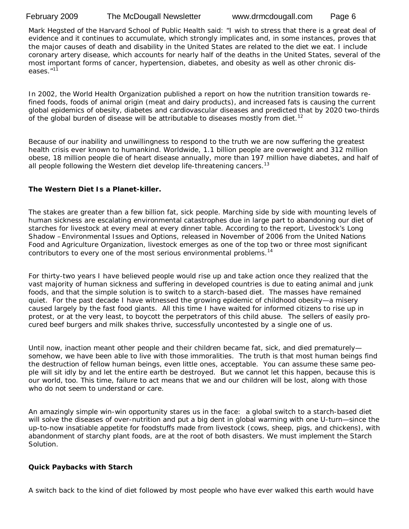Mark Hegsted of the Harvard School of Public Health said: "I wish to stress that there is a great deal of evidence and it continues to accumulate, which strongly implicates and, in some instances, proves that the major causes of death and disability in the United States are related to the diet we eat. I include coronary artery disease, which accounts for nearly half of the deaths in the United States, several of the most important forms of cancer, hypertension, diabetes, and obesity as well as other chronic diseases."<sup>11</sup>

In 2002, the World Health Organization published a report on how the nutrition transition towards refined foods, foods of animal origin (meat and dairy products), and increased fats is causing the current global epidemics of obesity, diabetes and cardiovascular diseases and predicted that by 2020 two-thirds of the global burden of disease will be attributable to diseases mostly from diet.<sup>12</sup>

Because of our inability and unwillingness to respond to the truth we are now suffering the greatest health crisis ever known to humankind. Worldwide, 1.1 billion people are overweight and 312 million obese, 18 million people die of heart disease annually, more than 197 million have diabetes, and half of all people following the Western diet develop life-threatening cancers.<sup>13</sup>

#### **The Western Diet Is a Planet-killer.**

The stakes are greater than a few billion fat, sick people. Marching side by side with mounting levels of human sickness are escalating environmental catastrophes due in large part to abandoning our diet of starches for livestock at every meal at every dinner table. According to the report, *Livestock's Long Shadow –Environmental Issues and Options,* released in November of 2006 from the United Nations Food and Agriculture Organization, livestock emerges as one of the top two or three most significant contributors to every one of the most serious environmental problems.<sup>14</sup>

For thirty-two years I have believed people would rise up and take action once they realized that the vast majority of human sickness and suffering in developed countries is due to eating animal and junk foods, and that the simple solution is to switch to a starch-based diet. The masses have remained quiet. For the past decade I have witnessed the growing epidemic of childhood obesity—a misery caused largely by the fast food giants. All this time I have waited for informed citizens to rise up in protest, or at the very least, to boycott the perpetrators of this child abuse. The sellers of easily procured beef burgers and milk shakes thrive, successfully uncontested by a single one of us.

Until now, inaction meant other people and their children became fat, sick, and died prematurely somehow, we have been able to live with those immoralities. The truth is that most human beings find the destruction of fellow human beings, even little ones, acceptable. You can assume these same people will sit idly by and let the entire earth be destroyed. But we cannot let this happen, because this is our world, too. This time, failure to act means that we and our children will be lost, along with those who do not seem to understand or care.

An amazingly simple win-win opportunity stares us in the face: a global switch to a starch-based diet will solve the diseases of over-nutrition and put a big dent in global warming with one U-turn—since the up-to-now insatiable appetite for foodstuffs made from livestock (cows, sheep, pigs, and chickens), with abandonment of starchy plant foods, are at the root of both disasters. We must implement the Starch Solution.

#### **Quick Paybacks with Starch**

A switch back to the kind of diet followed by most people who have ever walked this earth would have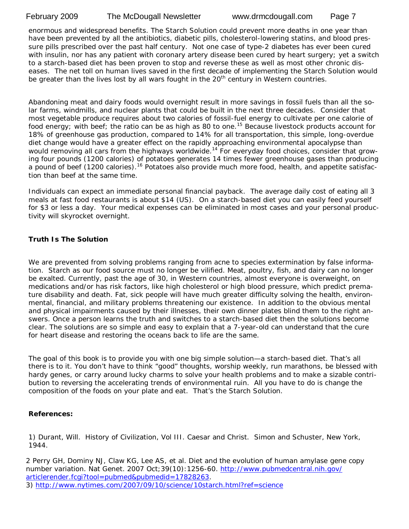enormous and widespread benefits. The Starch Solution could prevent more deaths in one year than have been prevented by all the antibiotics, diabetic pills, cholesterol-lowering statins, and blood pressure pills prescribed over the past half century. Not one case of type-2 diabetes has ever been cured with insulin, nor has any patient with coronary artery disease been cured by heart surgery; yet a switch to a starch-based diet has been proven to stop and reverse these as well as most other chronic diseases. The net toll on human lives saved in the first decade of implementing the Starch Solution would be greater than the lives lost by all wars fought in the  $20<sup>th</sup>$  century in Western countries.

Abandoning meat and dairy foods would overnight result in more savings in fossil fuels than all the solar farms, windmills, and nuclear plants that could be built in the next three decades. Consider that most vegetable produce requires about two calories of fossil-fuel energy to cultivate per one calorie of food energy; with beef; the ratio can be as high as 80 to one.<sup>15</sup> Because livestock products account for 18% of greenhouse gas production, compared to 14% for all transportation, this simple, long-overdue diet change would have a greater effect on the rapidly approaching environmental apocalypse than would removing all cars from the highways worldwide.<sup>14</sup> For everyday food choices, consider that growing four pounds (1200 calories) of potatoes generates 14 times fewer greenhouse gases than producing a pound of beef (1200 calories).<sup>16</sup> Potatoes also provide much more food, health, and appetite satisfaction than beef at the same time.

Individuals can expect an immediate personal financial payback. The average daily cost of eating all 3 meals at fast food restaurants is about \$14 (US). On a starch-based diet you can easily feed yourself for \$3 or less a day. Your medical expenses can be eliminated in most cases and your personal productivity will skyrocket overnight.

## **Truth Is The Solution**

We are prevented from solving problems ranging from acne to species extermination by false information. Starch as our food source must no longer be vilified. Meat, poultry, fish, and dairy can no longer be exalted. Currently, past the age of 30, in Western countries, almost everyone is overweight, on medications and/or has risk factors, like high cholesterol or high blood pressure, which predict premature disability and death. Fat, sick people will have much greater difficulty solving the health, environmental, financial, and military problems threatening our existence. In addition to the obvious mental and physical impairments caused by their illnesses, their own dinner plates blind them to the right answers. Once a person learns the truth and switches to a starch-based diet then the solutions become clear. The solutions are so simple and easy to explain that a 7-year-old can understand that the cure for heart disease and restoring the oceans back to life are the same.

The goal of this book is to provide you with one big simple solution—a starch-based diet. That's all there is to it. You don't have to think "good" thoughts, worship weekly, run marathons, be blessed with hardy genes, or carry around lucky charms to solve your health problems and to make a sizable contribution to reversing the accelerating trends of environmental ruin. All you have to do is change the composition of the foods on your plate and eat. That's the Starch Solution.

#### **References:**

1) Durant, Will. History of Civilization, Vol III. Caesar and Christ. Simon and Schuster, New York, 1944.

2 Perry GH, Dominy NJ, Claw KG, Lee AS, et al. Diet and the evolution of human amylase gene copy number variation. Nat Genet. 2007 Oct;39(10):1256-60. http://www.pubmedcentral.nih.gov/ articlerender.fcgi?tool=pubmed&pubmedid=17828263. 3) http://www.nytimes.com/2007/09/10/science/10starch.html?ref=science